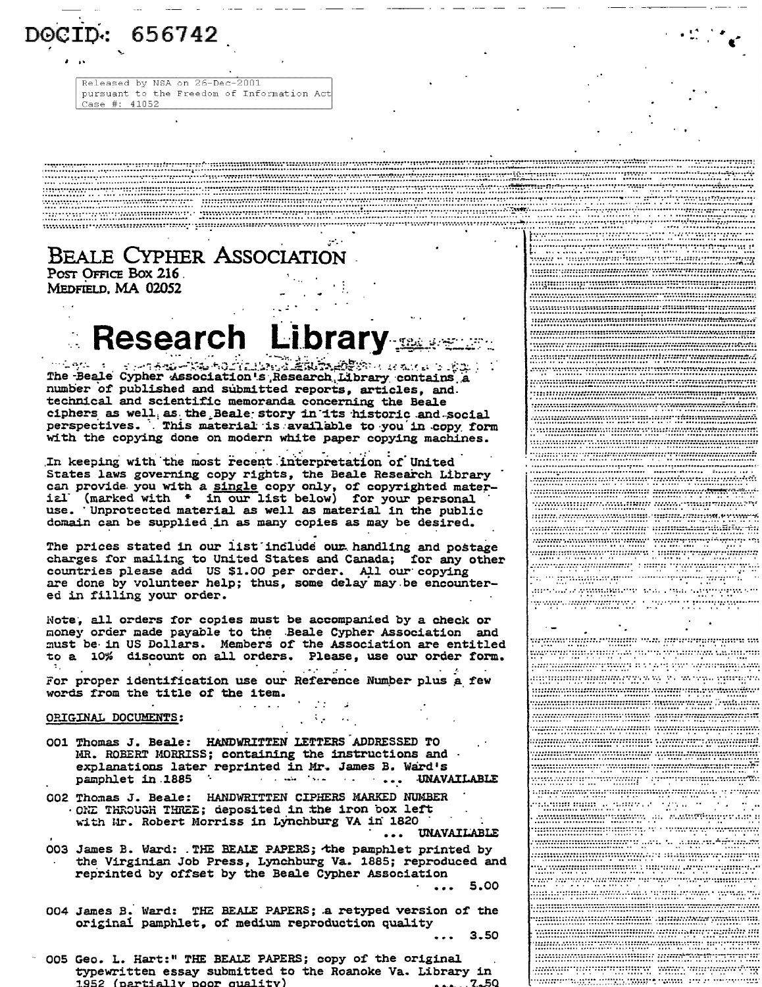DOCID: 656742

Released by NSA on 26-Dec-2001 pursuant to the Freedom of Information Act Case #: 41052

BEALE CYPHER ASSOCIATION POST OFFICE BOX 216

MEDFIELD, MA 02052

## **Research Library**

The Beale Cypher Association's Research Library contains a number of published and submitted reports, articles, and. technical and scientific memoranda concerning the Beale ciphers as well as the Beale story in its historic and social<br>perspectives. This material is available to you in copy form with the copying done on modern white paper copying machines.

In keeping with the most recent interpretation of United States laws governing copy rights, the Beale Research Library<br>can provide you with a single copy only, of copyrighted mater-<br>ial (marked with \* in our list below) for your personal use. Unprotected material as well as material in the public domain can be supplied in as many copies as may be desired.

The prices stated in our list include our handling and postage charges for mailing to United States and Canada; for any other countries please add US \$1.00 per order. All our copying are done by volunteer help; thus, some delay may be encountered in filling your order.

Note, all orders for copies must be accompanied by a check or money order made payable to the Beale Cypher Association and must be in US Dollars. Members of the Association are entitled to a 10% discount on all orders. Please, use our order form. For proper identification use our Reference Number plus a few

**Alberta** 

words from the title of the item.

ORIGINAL DOCUMENTS:

- OO1 Thomas J. Beale: HANDWRITTEN LETTERS ADDRESSED TO MR. ROBERT MORRISS; containing the instructions and . explanations later reprinted in Mr. James B. Ward's pamphlet in 1885 And the same of the same UNAVAILABLE
- 002 Thomas J. Beale: HANDWRITTEN CIPHERS MARKED NUMBER ONE THROUGH THREE; deposited in the iron box left with Mr. Robert Morriss in Lynchburg VA in 1820 ... UNAVAILABLE

003 James B. Ward: . THE BEALE PAPERS; the pamphlet printed by the Virginian Job Press, Lynchburg Va. 1885; reproduced and reprinted by offset by the Beale Cypher Association 5.00

004 James B. Ward: THE BEALE PAPERS; a retyped version of the original pamphlet, of medium reproduction quality

 $3.50$ 

 $\sim$  10  $\sim$  10  $\sim$ 

<u>minumum mumarumum tumominish</u> 

<u> 1978 - 2000 - 2000 - 2000 - 2000 - 2000 - 2000 - 2000 - 2000 - 2000 - 2000 - 2000 - 2000 - 2000 - 2000 - 20</u>

<u>ta mahalanggun suntunggun anggot s</u>

ans die eingenachten von 1994 sammen von

www.angrammy.com/www.com/www.

<u>senam militar englisha nata hiperangan mena m</u>

movembri napijala prve ovporoževa drugom

maning many aver in vinning om HIPPERTURBERG TANK YOUR SERVICE HIPPERT

min mini de name, le 1995, le 1995, e 1995,

**MARIA MARITA DE L'ANGUARDO DE L'ANGUARD** 

municipalita de la partididad

<u> Million Martinia a</u> Sant Campaign and a consequent

005 Geo. L. Hart:" THE BEALE PAPERS; copy of the original typewritten essay submitted to the Roanoke Va. Library in 1952 (partially poor quality) . . . . . 7. . 50